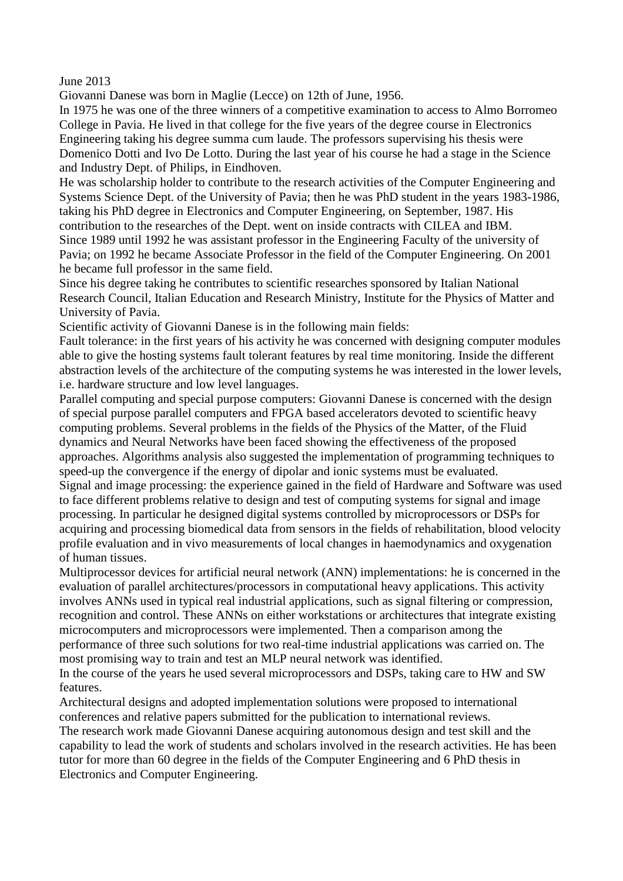June 2013

Giovanni Danese was born in Maglie (Lecce) on 12th of June, 1956.

In 1975 he was one of the three winners of a competitive examination to access to Almo Borromeo College in Pavia. He lived in that college for the five years of the degree course in Electronics Engineering taking his degree summa cum laude. The professors supervising his thesis were Domenico Dotti and Ivo De Lotto. During the last year of his course he had a stage in the Science and Industry Dept. of Philips, in Eindhoven.

He was scholarship holder to contribute to the research activities of the Computer Engineering and Systems Science Dept. of the University of Pavia; then he was PhD student in the years 1983-1986, taking his PhD degree in Electronics and Computer Engineering, on September, 1987. His contribution to the researches of the Dept. went on inside contracts with CILEA and IBM. Since 1989 until 1992 he was assistant professor in the Engineering Faculty of the university of Pavia; on 1992 he became Associate Professor in the field of the Computer Engineering. On 2001 he became full professor in the same field.

Since his degree taking he contributes to scientific researches sponsored by Italian National Research Council, Italian Education and Research Ministry, Institute for the Physics of Matter and University of Pavia.

Scientific activity of Giovanni Danese is in the following main fields:

Fault tolerance: in the first years of his activity he was concerned with designing computer modules able to give the hosting systems fault tolerant features by real time monitoring. Inside the different abstraction levels of the architecture of the computing systems he was interested in the lower levels, i.e. hardware structure and low level languages.

Parallel computing and special purpose computers: Giovanni Danese is concerned with the design of special purpose parallel computers and FPGA based accelerators devoted to scientific heavy computing problems. Several problems in the fields of the Physics of the Matter, of the Fluid dynamics and Neural Networks have been faced showing the effectiveness of the proposed approaches. Algorithms analysis also suggested the implementation of programming techniques to speed-up the convergence if the energy of dipolar and ionic systems must be evaluated. Signal and image processing: the experience gained in the field of Hardware and Software was used to face different problems relative to design and test of computing systems for signal and image processing. In particular he designed digital systems controlled by microprocessors or DSPs for acquiring and processing biomedical data from sensors in the fields of rehabilitation, blood velocity profile evaluation and in vivo measurements of local changes in haemodynamics and oxygenation of human tissues.

Multiprocessor devices for artificial neural network (ANN) implementations: he is concerned in the evaluation of parallel architectures/processors in computational heavy applications. This activity involves ANNs used in typical real industrial applications, such as signal filtering or compression, recognition and control. These ANNs on either workstations or architectures that integrate existing microcomputers and microprocessors were implemented. Then a comparison among the performance of three such solutions for two real-time industrial applications was carried on. The most promising way to train and test an MLP neural network was identified. In the course of the years he used several microprocessors and DSPs, taking care to HW and SW

features.

Architectural designs and adopted implementation solutions were proposed to international conferences and relative papers submitted for the publication to international reviews. The research work made Giovanni Danese acquiring autonomous design and test skill and the capability to lead the work of students and scholars involved in the research activities. He has been tutor for more than 60 degree in the fields of the Computer Engineering and 6 PhD thesis in Electronics and Computer Engineering.